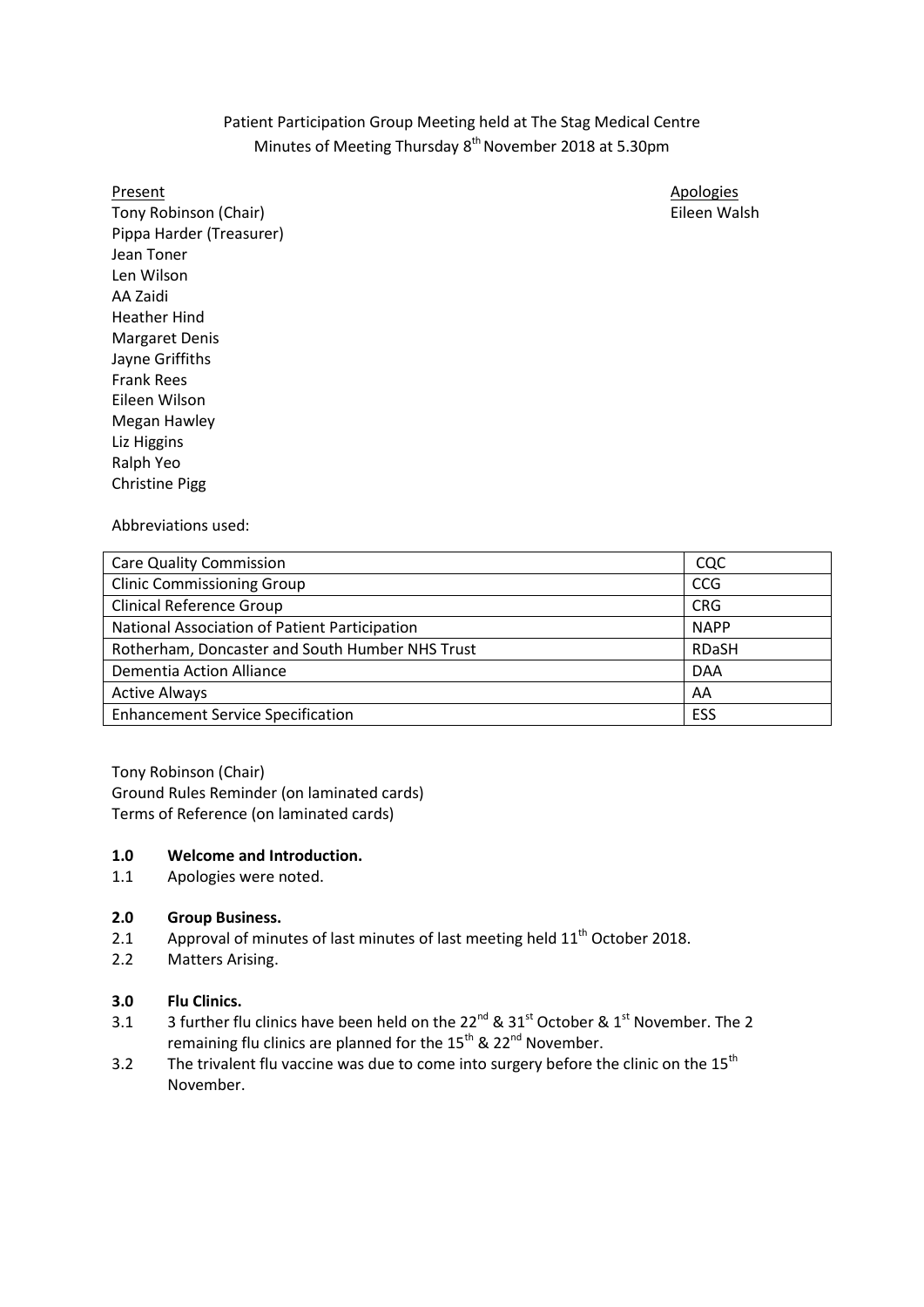# Patient Participation Group Meeting held at The Stag Medical Centre Minutes of Meeting Thursday 8<sup>th</sup> November 2018 at 5.30pm

Tony Robinson (Chair) **Eileen Walsh** Pippa Harder (Treasurer) Jean Toner Len Wilson AA Zaidi Heather Hind Margaret Denis Jayne Griffiths Frank Rees Eileen Wilson Megan Hawley Liz Higgins Ralph Yeo Christine Pigg

Present Apologies Apologies Apologies Apologies Apologies Apologies Apologies Apologies Apologies Apologies Apologies

Abbreviations used:

| <b>Care Quality Commission</b>                  | CQC          |
|-------------------------------------------------|--------------|
| <b>Clinic Commissioning Group</b>               | <b>CCG</b>   |
| <b>Clinical Reference Group</b>                 | <b>CRG</b>   |
| National Association of Patient Participation   | <b>NAPP</b>  |
| Rotherham, Doncaster and South Humber NHS Trust | <b>RDaSH</b> |
| Dementia Action Alliance                        | <b>DAA</b>   |
| <b>Active Always</b>                            | AA           |
| <b>Enhancement Service Specification</b>        | ESS          |

Tony Robinson (Chair) Ground Rules Reminder (on laminated cards) Terms of Reference (on laminated cards)

### **1.0 Welcome and Introduction.**

1.1 Apologies were noted.

### **2.0 Group Business.**

- 2.1 Approval of minutes of last minutes of last meeting held 11<sup>th</sup> October 2018.
- 2.2 Matters Arising.

### **3.0 Flu Clinics.**

- 3.1 3 further flu clinics have been held on the  $22^{nd}$  &  $31^{st}$  October &  $1^{st}$  November. The 2 remaining flu clinics are planned for the 15<sup>th</sup> & 22<sup>nd</sup> November.
- 3.2 The trivalent flu vaccine was due to come into surgery before the clinic on the  $15^{th}$ November.